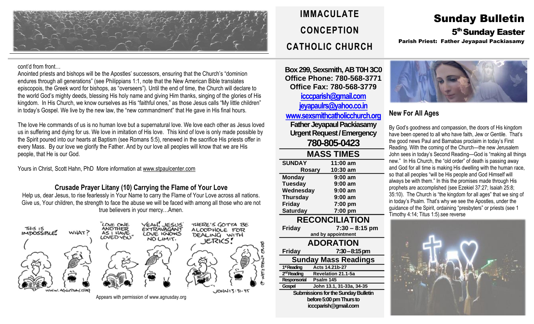

cont'd from front…

Anointed priests and bishops will be the Apostles' successors, ensuring that the Church's "dominion endures through all generations" (see Philippians 1:1, note that the New American Bible translates episcopois, the Greek word for bishops, as "overseers"). Until the end of time, the Church will declare to the world God's mighty deeds, blessing His holy name and giving Him thanks, singing of the glories of His kingdom. In His Church, we know ourselves as His "faithful ones," as those Jesus calls "My little children" in today's Gospel. We live by the new law, the "new commandment" that He gave in His final hours.

The love He commands of us is no human love but a supernatural love. We love each other as Jesus loved us in suffering and dying for us. We love in imitation of His love. This kind of love is only made possible by the Spirit poured into our hearts at Baptism (see Romans 5:5), renewed in the sacrifice His priests offer in every Mass. By our love we glorify the Father. And by our love all peoples will know that we are His people, that He is our God.

Yours in Christ, Scott Hahn, PhD More information at [www.stpaulcenter.com](http://www.stpaulcenter.com/)

#### **Crusade Prayer Litany (10) Carrying the Flame of Your Love**

Help us, dear Jesus, to rise fearlessly in Your Name to carry the Flame of Your Love across all nations. Give us, Your children, the strength to face the abuse we will be faced with among all those who are not true believers in your mercy…Amen.



## **IMMACULATE CONCEPTION CATHOLIC CHURCH**

**Box 299, Sexsmith, AB T0H 3C0 Office Phone: 780-568-3771 Office Fax: 780-568-3779 [icccparish@gmail.com](mailto:icccparish@gmail.com) [jeyapaulrs@yahoo.co.in](mailto:jeyapaulrs@yahoo.co.in) [www.sexsmithcatholicchurch.org](http://www.sexsmithcatholicchurch.org/) Father Jeyapaul Packiasamy Urgent Request/Emergency 780-805-0423**

| <b>MASS TIMES</b>           |                    |  |
|-----------------------------|--------------------|--|
| <b>SUNDAY</b>               | 11:00 am           |  |
| Rosary                      | 10:30 am           |  |
| <b>Monday</b>               | $9:00$ am          |  |
| <b>Tuesday</b>              | $9:00$ am          |  |
| Wednesday                   | $9:00$ am          |  |
| <b>Thursday</b>             | $9:00$ am          |  |
| <b>Friday</b>               | 7:00 pm            |  |
| <b>Saturday</b>             | 7:00 pm            |  |
| <b>RECONCILIATION</b>       |                    |  |
| <b>Friday</b>               | $7:30 - 8:15$ pm   |  |
|                             | and by appointment |  |
| <b>ADORATION</b>            |                    |  |
| <b>Friday</b>               | $7:30 - 8:15$ pm   |  |
| <b>Sunday Mass Readings</b> |                    |  |
| $\sim$<br>. .               |                    |  |

1ª Reading **stReading Acts 14.21b-27** 2<sup>rd</sup> Reading **Revelation 21.1-5a Responsorial Psalm 145 Gospel John 13.1, 31-33a, 34-35 Submissions for the Sunday Bulletin before 5:00 pm Thursto icccparish@gmail.com**

# Sunday Bulletin 5<sup>th</sup> Sunday Easter

Parish Priest: Father Jeyapaul Packiasamy



## **New For All Ages**

By God's goodness and compassion, the doors of His kingdom have been opened to all who have faith, Jew or Gentile. That's the good news Paul and Barnabas proclaim in today's First Reading. With the coming of the Church—the new Jerusalem John sees in today's Second Reading—God is "making all things new." In His Church, the "old order" of death is passing away and God for all time is making His dwelling with the human race, so that all peoples "will be His people and God Himself will always be with them." In this the promises made through His prophets are accomplished (see Ezekiel 37:27; Isaiah 25:8; 35:10). The Church is "the kingdom for all ages" that we sing of in today's Psalm. That's why we see the Apostles, under the guidance of the Spirit, ordaining "presbyters" or priests (see 1 Timothy 4:14; Titus 1:5).see reverse